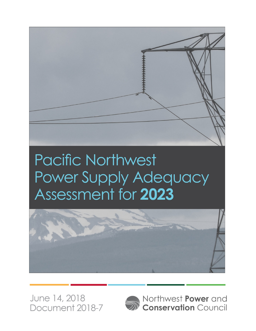

# **Pacific Northwest** Power Supply Adequacy Assessment for 2023



June 14, 2018 Document 2018-7



Northwest Power and **Conservation Council**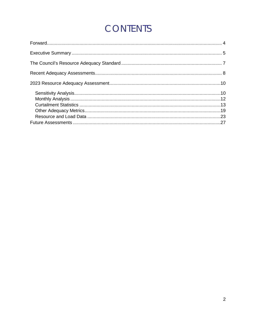## **CONTENTS**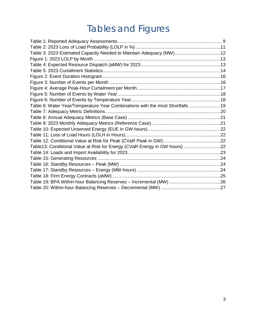## Tables and Figures

| Table 3: 2023 Estimated Capacity Needed to Maintain Adequacy (MW)12           |  |
|-------------------------------------------------------------------------------|--|
|                                                                               |  |
|                                                                               |  |
|                                                                               |  |
|                                                                               |  |
|                                                                               |  |
|                                                                               |  |
|                                                                               |  |
|                                                                               |  |
| Table 6: Water Year/Temperature Year Combinations with the most Shortfalls 19 |  |
|                                                                               |  |
|                                                                               |  |
|                                                                               |  |
|                                                                               |  |
|                                                                               |  |
|                                                                               |  |
| Table13: Conditional Value at Risk for Energy (CVaR Energy in GW-hours) 22    |  |
|                                                                               |  |
|                                                                               |  |
|                                                                               |  |
|                                                                               |  |
|                                                                               |  |
|                                                                               |  |
|                                                                               |  |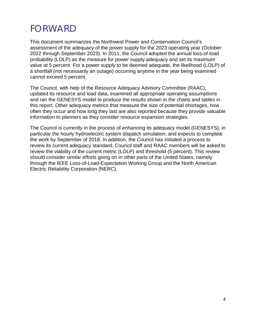## <span id="page-3-0"></span>FORWARD

This document summarizes the Northwest Power and Conservation Council's assessment of the adequacy of the power supply for the 2023 operating year (October 2022 through September 2023). In 2011, the Council adopted the annual loss-of-load probability (LOLP) as the measure for power supply adequacy and set its maximum value at 5 percent. For a power supply to be deemed adequate, the likelihood (LOLP) of a shortfall (not necessarily an outage) occurring anytime in the year being examined cannot exceed 5 percent.

The Council, with help of the Resource Adequacy Advisory Committee (RAAC), updated its resource and load data, examined all appropriate operating assumptions and ran the GENESYS model to produce the results shown in the charts and tables in this report. Other adequacy metrics that measure the size of potential shortages, how often they occur and how long they last are also reported because they provide valuable information to planners as they consider resource expansion strategies.

The Council is currently in the process of enhancing its adequacy model (GENESYS), in particular the hourly hydroelectric system dispatch simulation, and expects to complete the work by September of 2018. In addition, the Council has initiated a process to review its current adequacy standard. Council staff and RAAC members will be asked to review the viability of the current metric (LOLP) and threshold (5 percent). This review should consider similar efforts going on in other parts of the United States, namely through the IEEE Loss-of-Load-Expectation Working Group and the North American Electric Reliability Corporation (NERC).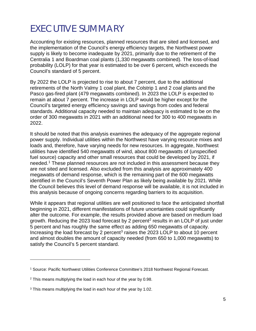## <span id="page-4-0"></span>EXECUTIVE SUMMARY

Accounting for existing resources, planned resources that are sited and licensed, and the implementation of the Council's energy efficiency targets, the Northwest power supply is likely to become inadequate by 2021, primarily due to the retirement of the Centralia 1 and Boardman coal plants (1,330 megawatts combined). The loss-of-load probability (LOLP) for that year is estimated to be over 6 percent, which exceeds the Council's standard of 5 percent.

By 2022 the LOLP is projected to rise to about 7 percent, due to the additional retirements of the North Valmy 1 coal plant, the Colstrip 1 and 2 coal plants and the Pasco gas-fired plant (479 megawatts combined). In 2023 the LOLP is expected to remain at about 7 percent. The increase in LOLP would be higher except for the Council's targeted energy efficiency savings and savings from codes and federal standards. Additional capacity needed to maintain adequacy is estimated to be on the order of 300 megawatts in 2021 with an additional need for 300 to 400 megawatts in 2022.

It should be noted that this analysis examines the adequacy of the aggregate regional power supply. Individual utilities within the Northwest have varying resource mixes and loads and, therefore, have varying needs for new resources. In aggregate, Northwest utilities have identified 540 megawatts of wind, about 800 megawatts of (unspecified fuel source) capacity and other small resources that could be developed by 2021, if needed.[1](#page-4-1) These planned resources are not included in this assessment because they are not sited and licensed. Also excluded from this analysis are approximately 400 megawatts of demand response, which is the remaining part of the 600 megawatts identified in the Council's Seventh Power Plan as likely being available by 2021. While the Council believes this level of demand response will be available, it is not included in this analysis because of ongoing concerns regarding barriers to its acquisition.

While it appears that regional utilities are well positioned to face the anticipated shortfall beginning in 2021, different manifestations of future uncertainties could significantly alter the outcome. For example, the results provided above are based on medium load growth. Reducing the [2](#page-4-2)023 load forecast by 2 percent<sup>2</sup> results in an LOLP of just under 5 percent and has roughly the same effect as adding 650 megawatts of capacity. Increasing the load forecast by 2 percent<sup>[3](#page-4-3)</sup> raises the 2023 LOLP to about 10 percent and almost doubles the amount of capacity needed (from 650 to 1,000 megawatts) to satisfy the Council's 5 percent standard.

-

<span id="page-4-1"></span><sup>1</sup> Source: Pacific Northwest Utilities Conference Committee's 2018 Northwest Regional Forecast.

<span id="page-4-2"></span><sup>&</sup>lt;sup>2</sup> This means multiplying the load in each hour of the year by 0.98.

<span id="page-4-3"></span><sup>&</sup>lt;sup>3</sup> This means multiplying the load in each hour of the year by 1.02.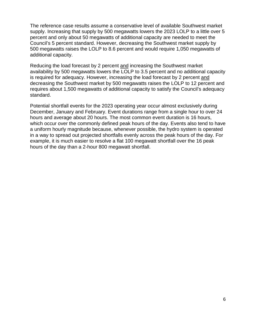The reference case results assume a conservative level of available Southwest market supply. Increasing that supply by 500 megawatts lowers the 2023 LOLP to a little over 5 percent and only about 50 megawatts of additional capacity are needed to meet the Council's 5 percent standard. However, decreasing the Southwest market supply by 500 megawatts raises the LOLP to 8.6 percent and would require 1,050 megawatts of additional capacity.

Reducing the load forecast by 2 percent and increasing the Southwest market availability by 500 megawatts lowers the LOLP to 3.5 percent and no additional capacity is required for adequacy. However, increasing the load forecast by 2 percent and decreasing the Southwest market by 500 megawatts raises the LOLP to 12 percent and requires about 1,500 megawatts of additional capacity to satisfy the Council's adequacy standard.

Potential shortfall events for the 2023 operating year occur almost exclusively during December, January and February. Event durations range from a single hour to over 24 hours and average about 20 hours. The most common event duration is 16 hours, which occur over the commonly defined peak hours of the day. Events also tend to have a uniform hourly magnitude because, whenever possible, the hydro system is operated in a way to spread out projected shortfalls evenly across the peak hours of the day. For example, it is much easier to resolve a flat 100 megawatt shortfall over the 16 peak hours of the day than a 2-hour 800 megawatt shortfall.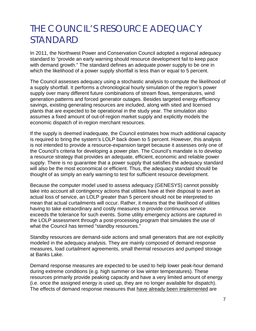### <span id="page-6-0"></span>THE COUNCIL'S RESOURCE ADEQUACY STANDARD

In 2011, the Northwest Power and Conservation Council adopted a regional adequacy standard to "provide an early warning should resource development fail to keep pace with demand growth." The standard defines an adequate power supply to be one in which the likelihood of a power supply shortfall is less than or equal to 5 percent.

The Council assesses adequacy using a stochastic analysis to compute the likelihood of a supply shortfall. It performs a chronological hourly simulation of the region's power supply over many different future combinations of stream flows, temperatures, wind generation patterns and forced generator outages. Besides targeted energy efficiency savings, existing generating resources are included, along with sited and licensed plants that are expected to be operational in the study year. The simulation also assumes a fixed amount of out-of-region market supply and explicitly models the economic dispatch of in-region merchant resources.

If the supply is deemed inadequate, the Council estimates how much additional capacity is required to bring the system's LOLP back down to 5 percent. However, this analysis is not intended to provide a resource-expansion target because it assesses only one of the Council's criteria for developing a power plan. The Council's mandate is to develop a resource strategy that provides an adequate, efficient, economic and reliable power supply. There is no guarantee that a power supply that satisfies the adequacy standard will also be the most economical or efficient. Thus, the adequacy standard should be thought of as simply an early warning to test for sufficient resource development.

Because the computer model used to assess adequacy (GENESYS) cannot possibly take into account all contingency actions that utilities have at their disposal to avert an actual loss of service, an LOLP greater than 5 percent should not be interpreted to mean that actual curtailments will occur. Rather, it means that the likelihood of utilities having to take extraordinary and costly measures to provide continuous service exceeds the tolerance for such events. Some utility emergency actions are captured in the LOLP assessment through a post-processing program that simulates the use of what the Council has termed "standby resources."

Standby resources are demand-side actions and small generators that are not explicitly modeled in the adequacy analysis. They are mainly composed of demand response measures, load curtailment agreements, small thermal resources and pumped storage at Banks Lake.

Demand response measures are expected to be used to help lower peak-hour demand during extreme conditions (e.g. high summer or low winter temperatures). These resources primarily provide peaking capacity and have a very limited amount of energy (i.e. once the assigned energy is used up, they are no longer available for dispatch). The effects of demand response measures that have already been implemented are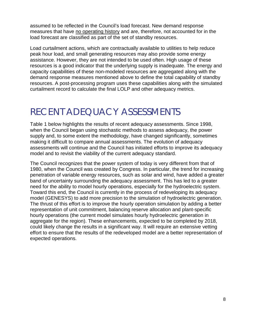assumed to be reflected in the Council's load forecast. New demand response measures that have no operating history and are, therefore, not accounted for in the load forecast are classified as part of the set of standby resources.

Load curtailment actions, which are contractually available to utilities to help reduce peak hour load, and small generating resources may also provide some energy assistance. However, they are not intended to be used often. High usage of these resources is a good indicator that the underlying supply is inadequate. The energy and capacity capabilities of these non-modeled resources are aggregated along with the demand response measures mentioned above to define the total capability of standby resources. A post-processing program uses these capabilities along with the simulated curtailment record to calculate the final LOLP and other adequacy metrics.

### <span id="page-7-0"></span>RECENT ADEQUACY ASSESSMENTS

Table 1 below highlights the results of recent adequacy assessments. Since 1998, when the Council began using stochastic methods to assess adequacy, the power supply and, to some extent the methodology, have changed significantly, sometimes making it difficult to compare annual assessments. The evolution of adequacy assessments will continue and the Council has initiated efforts to improve its adequacy model and to revisit the viability of the current adequacy standard.

The Council recognizes that the power system of today is very different from that of 1980, when the Council was created by Congress. In particular, the trend for increasing penetration of variable energy resources, such as solar and wind, have added a greater band of uncertainty surrounding the adequacy assessment. This has led to a greater need for the ability to model hourly operations, especially for the hydroelectric system. Toward this end, the Council is currently in the process of redeveloping its adequacy model (GENESYS) to add more precision to the simulation of hydroelectric generation. The thrust of this effort is to improve the hourly operation simulation by adding a better representation of unit commitment, balancing reserve allocation and plant-specific hourly operations (the current model simulates hourly hydroelectric generation in aggregate for the region). These enhancements, expected to be completed by 2018, could likely change the results in a significant way. It will require an extensive vetting effort to ensure that the results of the redeveloped model are a better representation of expected operations.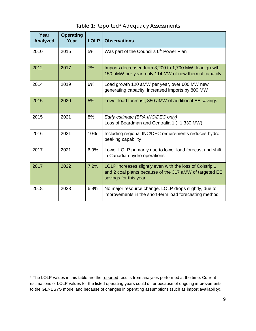<span id="page-8-0"></span>

| Year<br><b>Analyzed</b> | <b>Operating</b><br>Year | <b>LOLP</b> | <b>Observations</b>                                                                                                                           |
|-------------------------|--------------------------|-------------|-----------------------------------------------------------------------------------------------------------------------------------------------|
| 2010                    | 2015                     | 5%          | Was part of the Council's 6 <sup>th</sup> Power Plan                                                                                          |
| 2012                    | 2017                     | 7%          | Imports decreased from 3,200 to 1,700 MW, load growth<br>150 aMW per year, only 114 MW of new thermal capacity                                |
| 2014                    | 2019                     | 6%          | Load growth 120 aMW per year, over 600 MW new<br>generating capacity, increased imports by 800 MW                                             |
| 2015                    | 2020                     | 5%          | Lower load forecast, 350 aMW of additional EE savings                                                                                         |
| 2015                    | 2021                     | 8%          | Early estimate (BPA INC/DEC only)<br>Loss of Boardman and Centralia 1 (~1,330 MW)                                                             |
| 2016                    | 2021                     | 10%         | Including regional INC/DEC requirements reduces hydro<br>peaking capability                                                                   |
| 2017                    | 2021                     | 6.9%        | Lower LOLP primarily due to lower load forecast and shift<br>in Canadian hydro operations                                                     |
| 2017                    | 2022                     | 7.2%        | LOLP increases slightly even with the loss of Colstrip 1<br>and 2 coal plants because of the 317 aMW of targeted EE<br>savings for this year. |
| 2018                    | 2023                     | 6.9%        | No major resource change. LOLP drops slightly, due to<br>improvements in the short-term load forecasting method                               |

#### Table 1: Reported<sup>[4](#page-8-1)</sup> Adequacy Assessments

 $\overline{a}$ 

<span id="page-8-1"></span><sup>&</sup>lt;sup>4</sup> The LOLP values in this table are the reported results from analyses performed at the time. Current estimations of LOLP values for the listed operating years could differ because of ongoing improvements to the GENESYS model and because of changes in operating assumptions (such as import availability).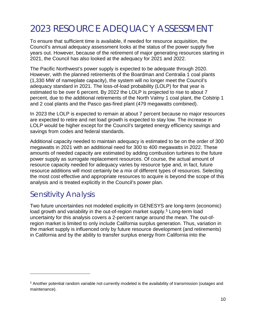## <span id="page-9-0"></span>2023 RESOURCE ADEQUACY ASSESSMENT

To ensure that sufficient time is available, if needed for resource acquisition, the Council's annual adequacy assessment looks at the status of the power supply five years out. However, because of the retirement of major generating resources starting in 2021, the Council has also looked at the adequacy for 2021 and 2022.

The Pacific Northwest's power supply is expected to be adequate through 2020. However, with the planned retirements of the Boardman and Centralia 1 coal plants (1,330 MW of nameplate capacity), the system will no longer meet the Council's adequacy standard in 2021. The loss-of-load probability (LOLP) for that year is estimated to be over 6 percent. By 2022 the LOLP is projected to rise to about 7 percent, due to the additional retirements of the North Valmy 1 coal plant, the Colstrip 1 and 2 coal plants and the Pasco gas-fired plant (479 megawatts combined).

In 2023 the LOLP is expected to remain at about 7 percent because no major resources are expected to retire and net load growth is expected to stay low. The increase in LOLP would be higher except for the Council's targeted energy efficiency savings and savings from codes and federal standards.

Additional capacity needed to maintain adequacy is estimated to be on the order of 300 megawatts in 2021 with an additional need for 300 to 400 megawatts in 2022. These amounts of needed capacity are estimated by adding combustion turbines to the future power supply as surrogate replacement resources. Of course, the actual amount of resource capacity needed for adequacy varies by resource type and, in fact, future resource additions will most certainly be a mix of different types of resources. Selecting the most cost effective and appropriate resources to acquire is beyond the scope of this analysis and is treated explicitly in the Council's power plan.

### <span id="page-9-1"></span>Sensitivity Analysis

 $\ddot{\phantom{a}}$ 

Two future uncertainties not modeled explicitly in GENESYS are long-term (economic) load growth and variability in the out-of-region market supply.<sup>[5](#page-9-2)</sup> Long-term load uncertainty for this analysis covers a 2-percent range around the mean. The out-ofregion market is limited to only include California surplus generation. Thus, variation in the market supply is influenced only by future resource development (and retirements) in California and by the ability to transfer surplus energy from California into the

<span id="page-9-2"></span><sup>5</sup> Another potential random variable not currently modeled is the availability of transmission (outages and maintenance).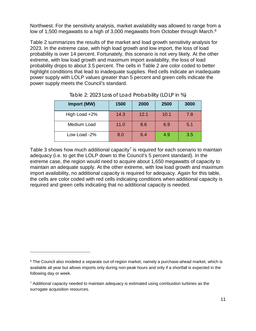Northwest. For the sensitivity analysis, market availability was allowed to range from a low of 1,500 megawatts to a high of 3,000 megawatts from October through March.<sup>6</sup>

Table 2 summarizes the results of the market and load growth sensitivity analysis for 2023. In the extreme case, with high load growth and low import, the loss of load probability is over 14 percent. Fortunately, this scenario is not very likely. At the other extreme, with low load growth and maximum import availability, the loss of load probability drops to about 3.5 percent. The cells in Table 2 are color coded to better highlight conditions that lead to inadequate supplies. Red cells indicate an inadequate power supply with LOLP values greater than 5 percent and green cells indicate the power supply meets the Council's standard.

<span id="page-10-0"></span>

| Import (MW)   | 1500 | 2000 | 2500 | 3000 |
|---------------|------|------|------|------|
| High Load +2% | 14.3 | 12.1 | 10.1 | 7.8  |
| Medium Load   | 11.0 | 8.6  | 6.9  | 5.1  |
| Low Load -2%  | 8.0  | 6.4  | 4.9  | 3.5  |

Table 3 shows how much additional capacity<sup>[7](#page-10-2)</sup> is required for each scenario to maintain adequacy (i.e. to get the LOLP down to the Council's 5 percent standard). In the extreme case, the region would need to acquire about 1,650 megawatts of capacity to maintain an adequate supply. At the other extreme, with low load growth and maximum import availability, no additional capacity is required for adequacy. Again for this table, the cells are color coded with red cells indicating conditions when additional capacity is required and green cells indicating that no additional capacity is needed.

-

<span id="page-10-1"></span><sup>&</sup>lt;sup>6</sup> The Council also modeled a separate out-of-region market, namely a purchase-ahead market, which is available all year but allows imports only during non-peak hours and only if a shortfall is expected in the following day or week.

<span id="page-10-2"></span> $7$  Additional capacity needed to maintain adequacy is estimated using combustion turbines as the surrogate acquisition resources.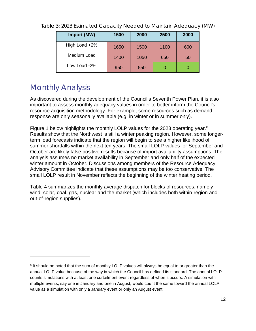| Import (MW)   | 1500 | 2000 | 2500 | 3000 |
|---------------|------|------|------|------|
| High Load +2% | 1650 | 1500 | 1100 | 600  |
| Medium Load   | 1400 | 1050 | 650  | 50   |
| Low Load -2%  | 950  | 550  |      |      |

<span id="page-11-1"></span>Table 3: 2023 Estimated Capacity Needed to Maintain Adequacy (MW)

### <span id="page-11-0"></span>Monthly Analysis

 $\ddot{\phantom{a}}$ 

As discovered during the development of the Council's Seventh Power Plan, it is also important to assess monthly adequacy values in order to better inform the Council's resource acquisition methodology. For example, some resources such as demand response are only seasonally available (e.g. in winter or in summer only).

Figure 1 below highlights the monthly LOLP values for the 2023 operating year.<sup>[8](#page-11-2)</sup> Results show that the Northwest is still a winter peaking region. However, some longerterm load forecasts indicate that the region will begin to see a higher likelihood of summer shortfalls within the next ten years. The small LOLP values for September and October are likely false positive results because of import availability assumptions. The analysis assumes no market availability in September and only half of the expected winter amount in October. Discussions among members of the Resource Adequacy Advisory Committee indicate that these assumptions may be too conservative. The small LOLP result in November reflects the beginning of the winter heating period.

Table 4 summarizes the monthly average dispatch for blocks of resources, namely wind, solar, coal, gas, nuclear and the market (which includes both within-region and out-of-region supplies).

<span id="page-11-2"></span><sup>&</sup>lt;sup>8</sup> It should be noted that the sum of monthly LOLP values will always be equal to or greater than the annual LOLP value because of the way in which the Council has defined its standard. The annual LOLP counts simulations with at least one curtailment event regardless of when it occurs. A simulation with multiple events, say one in January and one in August, would count the same toward the annual LOLP value as a simulation with only a January event or only an August event.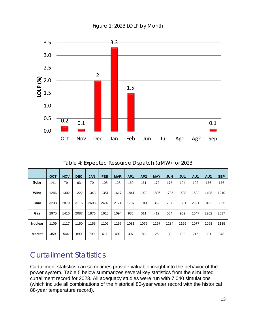<span id="page-12-1"></span>

Figure 1: 2023 LOLP by Month

Table 4: Expected Resource Dispatch (aMW) for 2023

<span id="page-12-2"></span>

|                | <b>OCT</b> | <b>NOV</b> | <b>DEC</b> | <b>JAN</b> | <b>FEB</b> | <b>MAR</b> | AP <sub>1</sub> | AP2  | <b>MAY</b> | <b>JUN</b> | <b>JUL</b> | AU1  | AU <sub>2</sub> | <b>SEP</b> |
|----------------|------------|------------|------------|------------|------------|------------|-----------------|------|------------|------------|------------|------|-----------------|------------|
| Solar          | 141        | 79         | 63         | 70         | 108        | 128        | 159             | 161  | 172        | 175        | 194        | 192  | 176             | 176        |
| Wind           | 1246       | 1302       | 1222       | 1343       | 1351       | 1617       | 1841            | 1920 | 1806       | 1785       | 1638       | 1532 | 1408            | 1210       |
| Coal           | 3238       | 2879       | 3116       | 2603       | 2402       | 2174       | 1787            | 1044 | 352        | 707        | 1801       | 2891 | 3182            | 3395       |
| Gas            | 2975       | 1416       | 2087       | 1876       | 1610       | 1094       | 985             | 511  | 412        | 584        | 969        | 1647 | 2202            | 2537       |
| <b>Nuclear</b> | 1109       | 1117       | 1150       | 1155       | 1106       | 1157       | 1081            | 1075 | 1157       | 1134       | 1159       | 1077 | 1098            | 1135       |
| <b>Market</b>  | 459        | 544        | 890        | 799        | 611        | 402        | 307             | 83   | 25         | 39         | 102        | 215  | 301             | 348        |

### <span id="page-12-0"></span>Curtailment Statistics

Curtailment statistics can sometimes provide valuable insight into the behavior of the power system. Table 5 below summarizes several key statistics from the simulated curtailment record for 2023. All adequacy studies were run with 7,040 simulations (which include all combinations of the historical 80-year water record with the historical 88-year temperature record).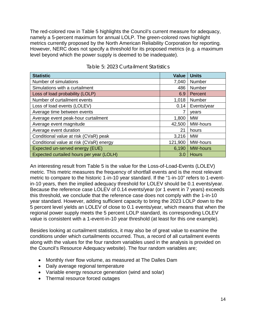The red-colored row in Table 5 highlights the Council's current measure for adequacy, namely a 5-percent maximum for annual LOLP. The green-colored rows highlight metrics currently proposed by the North American Reliability Corporation for reporting. However, NERC does not specify a threshold for its proposed metrics (e.g. a maximum level beyond which the power supply is deemed to be inadequate).

<span id="page-13-0"></span>

| <b>Statistic</b>                         | <b>Value</b> | <b>Units</b>    |
|------------------------------------------|--------------|-----------------|
| Number of simulations                    | 7,040        | Number          |
| Simulations with a curtailment           | 486          | Number          |
| Loss of load probability (LOLP)          | 6.9          | Percent         |
| Number of curtailment events             | 1,018        | Number          |
| Loss of load events (LOLEV)              | 0.14         | Events/year     |
| Average time between events              |              | vears           |
| Average event peak-hour curtailment      | 1,800        | <b>MW</b>       |
| Average event magnitude                  | 42,500       | MW-hours        |
| Average event duration                   | 21           | hours           |
| Conditional value at risk (CVaR) peak    | 3,216        | <b>MW</b>       |
| Conditional value at risk (CVaR) energy  | 121,900      | MW-hours        |
| Expected un-served energy (EUE)          | 6,190        | <b>MW-hours</b> |
| Expected curtailed hours per year (LOLH) | 3.0          | <b>Hours</b>    |

#### Table 5: 2023 Curtailment Statistics

An interesting result from Table 5 is the value for the Loss-of-Load-Events (LOLEV) metric. This metric measures the frequency of shortfall events and is the most relevant metric to compare to the historic 1-in-10 year standard. If the "1-in-10" refers to 1-eventin-10 years, then the implied adequacy threshold for LOLEV should be 0.1 events/year. Because the reference case LOLEV of 0.14 events/year (or 1 event in 7 years) exceeds this threshold, we conclude that the reference case does not comply with the 1-in-10 year standard. However, adding sufficient capacity to bring the 2023 LOLP down to the 5 percent level yields an LOLEV of close to 0.1 events/year, which means that when the regional power supply meets the 5 percent LOLP standard, its corresponding LOLEV value is consistent with a 1-event-in-10 year threshold (at least for this one example).

Besides looking at curtailment statistics, it may also be of great value to examine the conditions under which curtailments occurred. Thus, a record of all curtailment events along with the values for the four random variables used in the analysis is provided on the Council's Resource Adequacy website). The four random variables are;

- Monthly river flow volume, as measured at The Dalles Dam
- Daily average regional temperature
- Variable energy resource generation (wind and solar)
- Thermal resource forced outages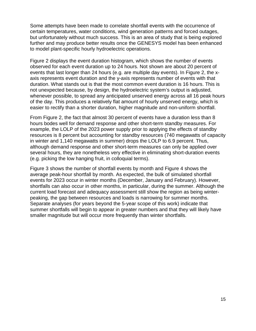Some attempts have been made to correlate shortfall events with the occurrence of certain temperatures, water conditions, wind generation patterns and forced outages, but unfortunately without much success. This is an area of study that is being explored further and may produce better results once the GENESYS model has been enhanced to model plant-specific hourly hydroelectric operations.

Figure 2 displays the event duration histogram, which shows the number of events observed for each event duration up to 24 hours. Not shown are about 20 percent of events that last longer than 24 hours (e.g. are multiple day events). In Figure 2, the xaxis represents event duration and the y-axis represents number of events with that duration. What stands out is that the most common event duration is 16 hours. This is not unexpected because, by design, the hydroelectric system's output is adjusted, whenever possible, to spread any anticipated unserved energy across all 16 peak hours of the day. This produces a relatively flat amount of hourly unserved energy, which is easier to rectify than a shorter duration, higher magnitude and non-uniform shortfall.

From Figure 2, the fact that almost 30 percent of events have a duration less than 8 hours bodes well for demand response and other short-term standby measures. For example, the LOLP of the 2023 power supply prior to applying the effects of standby resources is 8 percent but accounting for standby resources (740 megawatts of capacity in winter and 1,140 megawatts in summer) drops the LOLP to 6.9 percent. Thus, although demand response and other short-term measures can only be applied over several hours, they are nonetheless very effective in eliminating short-duration events (e.g. picking the low hanging fruit, in colloquial terms).

Figure 3 shows the number of shortfall events by month and Figure 4 shows the average peak-hour shortfall by month. As expected, the bulk of simulated shortfall events for 2023 occur in winter months (December, January and February). However, shortfalls can also occur in other months, in particular, during the summer. Although the current load forecast and adequacy assessment still show the region as being winterpeaking, the gap between resources and loads is narrowing for summer months. Separate analyses (for years beyond the 5-year scope of this work) indicate that summer shortfalls will begin to appear in greater numbers and that they will likely have smaller magnitude but will occur more frequently than winter shortfalls.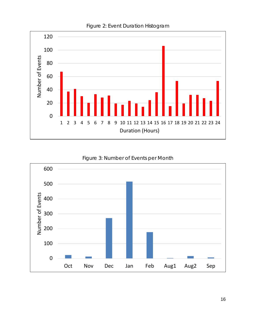<span id="page-15-0"></span>

#### Figure 2: Event Duration Histogram

#### Figure 3: Number of Events per Month

<span id="page-15-1"></span>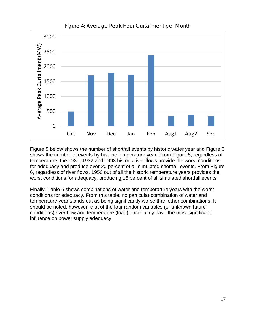<span id="page-16-0"></span>

Figure 4: Average Peak-Hour Curtailment per Month

Figure 5 below shows the number of shortfall events by historic water year and Figure 6 shows the number of events by historic temperature year. From Figure 5, regardless of temperature, the 1930, 1932 and 1993 historic river flows provide the worst conditions for adequacy and produce over 20 percent of all simulated shortfall events. From Figure 6, regardless of river flows, 1950 out of all the historic temperature years provides the worst conditions for adequacy, producing 16 percent of all simulated shortfall events.

Finally, Table 6 shows combinations of water and temperature years with the worst conditions for adequacy. From this table, no particular combination of water and temperature year stands out as being significantly worse than other combinations. It should be noted, however, that of the four random variables (or unknown future conditions) river flow and temperature (load) uncertainty have the most significant influence on power supply adequacy.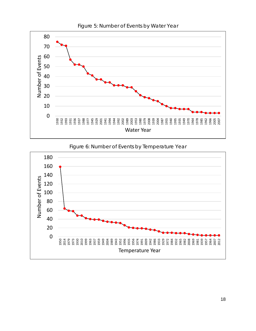<span id="page-17-0"></span>

Figure 5: Number of Events by Water Year



<span id="page-17-1"></span>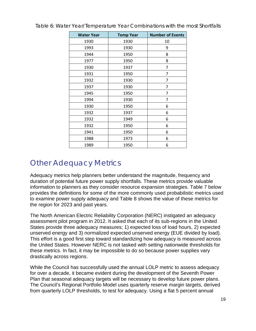| <b>Water Year</b> | <b>Temp Year</b> | <b>Number of Events</b> |
|-------------------|------------------|-------------------------|
| 1930              | 1930             | 10                      |
| 1993              | 1930             | 9                       |
| 1944              | 1950             | 8                       |
| 1977              | 1950             | 8                       |
| 1930              | 1937             | 7                       |
| 1931              | 1950             | 7                       |
| 1932              | 1930             | 7                       |
| 1937              | 1930             | 7                       |
| 1945              | 1950             | 7                       |
| 1994              | 1930             | 7                       |
| 1930              | 1950             | 6                       |
| 1932              | 1937             | 6                       |
| 1932              | 1949             | 6                       |
| 1932              | 1950             | 6                       |
| 1941              | 1950             | 6                       |
| 1988              | 1973             | 6                       |
| 1989              | 1950             | 6                       |

<span id="page-18-1"></span>Table 6: Water Year/Temperature Year Combinations with the most Shortfalls

### <span id="page-18-0"></span>Other Adequacy Metrics

Adequacy metrics help planners better understand the magnitude, frequency and duration of potential future power supply shortfalls. These metrics provide valuable information to planners as they consider resource expansion strategies. Table 7 below provides the definitions for some of the more commonly used probabilistic metrics used to examine power supply adequacy and Table 8 shows the value of these metrics for the region for 2023 and past years.

The North American Electric Reliability Corporation (NERC) instigated an adequacy assessment pilot program in 2012. It asked that each of its sub-regions in the United States provide three adequacy measures; 1) expected loss of load hours, 2) expected unserved energy and 3) normalized expected unserved energy (EUE divided by load). This effort is a good first step toward standardizing how adequacy is measured across the United States. However NERC is not tasked with setting nationwide thresholds for these metrics. In fact, it may be impossible to do so because power supplies vary drastically across regions.

While the Council has successfully used the annual LOLP metric to assess adequacy for over a decade, it became evident during the development of the Seventh Power Plan that seasonal adequacy targets will be necessary to develop future power plans. The Council's Regional Portfolio Model uses quarterly reserve margin targets, derived from quarterly LOLP thresholds, to test for adequacy. Using a flat 5 percent annual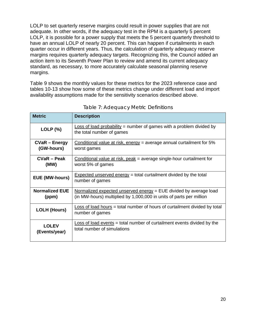LOLP to set quarterly reserve margins could result in power supplies that are not adequate. In other words, if the adequacy test in the RPM is a quarterly 5 percent LOLP, it is possible for a power supply that meets the 5 percent quarterly threshold to have an annual LOLP of nearly 20 percent. This can happen if curtailments in each quarter occur in different years. Thus, the calculation of quarterly adequacy reserve margins requires quarterly adequacy targets. Recognizing this, the Council added an action item to its Seventh Power Plan to review and amend its current adequacy standard, as necessary, to more accurately calculate seasonal planning reserve margins.

Table 9 shows the monthly values for these metrics for the 2023 reference case and tables 10-13 show how some of these metrics change under different load and import availability assumptions made for the sensitivity scenarios described above.

<span id="page-19-0"></span>

| <b>Metric</b>         | <b>Description</b>                                                                                       |
|-----------------------|----------------------------------------------------------------------------------------------------------|
| $LOLP$ (%)            | <b>Loss of load probability = number of games with a problem divided by</b><br>the total number of games |
| <b>CVaR - Energy</b>  | Conditional value at risk, energy = average annual curtailment for $5\%$                                 |
| (GW-hours)            | worst games                                                                                              |
| CVaR – Peak           | Conditional value at risk, peak = average single-hour curtailment for                                    |
| (MW)                  | worst 5% of games                                                                                        |
| <b>EUE (MW-hours)</b> | $Expected$ unserved energy = total curtailment divided by the total<br>number of games                   |
| <b>Normalized EUE</b> | Normalized expected unserved energy $=$ EUE divided by average load                                      |
| (ppm)                 | (in MW-hours) multiplied by 1,000,000 in units of parts per million                                      |
| <b>LOLH (Hours)</b>   | Loss of load hours = total number of hours of curtailment divided by total<br>number of games            |
| <b>LOLEV</b>          | Loss of load events = total number of curtailment events divided by the                                  |
| (Events/year)         | total number of simulations                                                                              |

Table 7: Adequacy Metric Definitions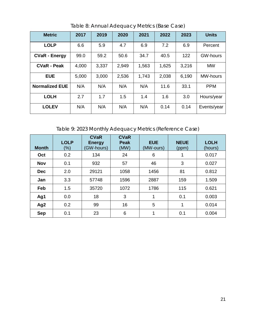<span id="page-20-0"></span>

| <b>Metric</b>         | 2017  | 2019  | 2020  | 2021  | 2022  | 2023  | <b>Units</b>    |
|-----------------------|-------|-------|-------|-------|-------|-------|-----------------|
| <b>LOLP</b>           | 6.6   | 5.9   | 4.7   | 6.9   | 7.2   | 6.9   | Percent         |
| <b>CVaR - Energy</b>  | 99.0  | 59.2  | 50.6  | 34.7  | 40.5  | 122   | <b>GW-hours</b> |
| <b>CVaR - Peak</b>    | 4,000 | 3,337 | 2,949 | 1,563 | 1,625 | 3,216 | <b>MW</b>       |
| <b>EUE</b>            | 5,000 | 3,000 | 2,536 | 1,743 | 2,038 | 6,190 | <b>MW-hours</b> |
| <b>Normalized EUE</b> | N/A   | N/A   | N/A   | N/A   | 11.6  | 33.1  | <b>PPM</b>      |
| <b>LOLH</b>           | 2.7   | 1.7   | 1.5   | 1.4   | 1.6   | 3.0   | Hours/year      |
| <b>LOLEV</b>          | N/A   | N/A   | N/A   | N/A   | 0.14  | 0.14  | Events/year     |

Table 8: Annual Adequacy Metrics (Base Case)

Table 9: 2023 Monthly Adequacy Metrics (Reference Case)

<span id="page-20-1"></span>

| <b>Month</b>    | <b>LOLP</b><br>$(\%)$ | <b>CVaR</b><br><b>Energy</b><br>(GW-hours) | <b>CVaR</b><br><b>Peak</b><br>(MW) | <b>EUE</b><br>(MW-ours) | <b>NEUE</b><br>(ppm) | <b>LOLH</b><br>(hours) |
|-----------------|-----------------------|--------------------------------------------|------------------------------------|-------------------------|----------------------|------------------------|
| Oct             | 0.2                   | 134                                        | 24                                 | 6                       | 1                    | 0.017                  |
| <b>Nov</b>      | 0.1                   | 932                                        | 57                                 | 46                      | 3                    | 0.027                  |
| <b>Dec</b>      | 2.0                   | 29121                                      | 1058                               | 1456                    | 81                   | 0.812                  |
| Jan             | 3.3                   | 57748                                      | 1596                               | 2887                    | 159                  | 1.509                  |
| Feb             | 1.5                   | 35720                                      | 1072                               | 1786                    | 115                  | 0.621                  |
| Ag1             | 0.0                   | 18                                         | 3                                  | 1                       | 0.1                  | 0.003                  |
| Ag <sub>2</sub> | 0.2                   | 99                                         | 16                                 | 5                       | 1                    | 0.014                  |
| <b>Sep</b>      | 0.1                   | 23                                         | 6                                  | 1                       | 0.1                  | 0.004                  |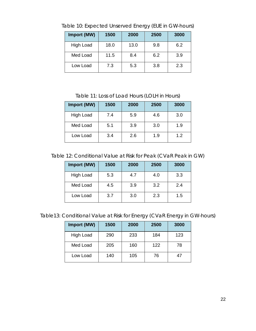| Import (MW)      | 1500 | 2000 | 2500 | 3000 |  |  |
|------------------|------|------|------|------|--|--|
| <b>High Load</b> | 18.0 | 13.0 | 9.8  | 6.2  |  |  |
| Med Load         | 11.5 | 8.4  | 6.2  | 3.9  |  |  |
| Low Load         | 7.3  | 5.3  | 3.8  | 2.3  |  |  |

<span id="page-21-0"></span>Table 10: Expected Unserved Energy (EUE in GW-hours)

Table 11: Loss of Load Hours (LOLH in Hours)

<span id="page-21-1"></span>

| Import (MW)      | 1500 | 2000 | 2500 | 3000 |
|------------------|------|------|------|------|
| <b>High Load</b> | 7.4  | 5.9  | 4.6  | 3.0  |
| Med Load         | 5.1  | 3.9  | 3.0  | 1.9  |
| Low Load         | 3.4  | 2.6  | 1.9  | 1.2  |

<span id="page-21-2"></span>Table 12: Conditional Value at Risk for Peak (CVaR Peak in GW)

| Import (MW) | 1500 | 2000 | 2500 | 3000 |
|-------------|------|------|------|------|
| High Load   | 5.3  | 4.7  | 4.0  | 3.3  |
| Med Load    | 4.5  | 3.9  | 3.2  | 2.4  |
| Low Load    | 3.7  | 3.0  | 2.3  | 1.5  |

<span id="page-21-3"></span>Table13: Conditional Value at Risk for Energy (CVaR Energy in GW-hours)

| Import (MW) | 1500 | 2000 | 2500 | 3000 |
|-------------|------|------|------|------|
| High Load   | 290  | 233  | 184  | 123  |
| Med Load    | 205  | 160  | 122  | 78   |
| Low Load    | 140  | 105  | 76   | 47   |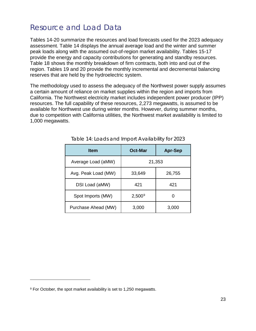### <span id="page-22-0"></span>Resource and Load Data

Tables 14-20 summarize the resources and load forecasts used for the 2023 adequacy assessment. Table 14 displays the annual average load and the winter and summer peak loads along with the assumed out-of-region market availability. Tables 15-17 provide the energy and capacity contributions for generating and standby resources. Table 18 shows the monthly breakdown of firm contracts, both into and out of the region. Tables 19 and 20 provide the monthly incremental and decremental balancing reserves that are held by the hydroelectric system.

The methodology used to assess the adequacy of the Northwest power supply assumes a certain amount of reliance on market supplies within the region and imports from California. The Northwest electricity market includes independent power producer (IPP) resources. The full capability of these resources, 2,273 megawatts, is assumed to be available for Northwest use during winter months. However, during summer months, due to competition with California utilities, the Northwest market availability is limited to 1,000 megawatts.

<span id="page-22-1"></span>

| <b>Item</b>         | <b>Oct-Mar</b> | <b>Apr-Sep</b> |  |  |  |  |
|---------------------|----------------|----------------|--|--|--|--|
| Average Load (aMW)  | 21,353         |                |  |  |  |  |
| Avg. Peak Load (MW) | 33,649         | 26,755         |  |  |  |  |
| DSI Load (aMW)      | 421            | 421            |  |  |  |  |
| Spot Imports (MW)   | $2,500^9$      | O              |  |  |  |  |
| Purchase Ahead (MW) | 3,000          | 3,000          |  |  |  |  |

| Table 14: Loads and Import Availability for 2023 |  |
|--------------------------------------------------|--|
|                                                  |  |

-

<span id="page-22-2"></span><sup>9</sup> For October, the spot market availability is set to 1,250 megawatts.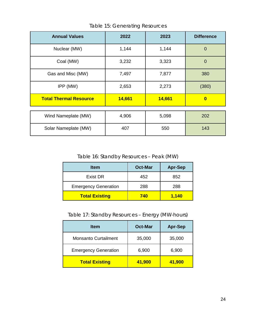<span id="page-23-0"></span>

| <b>Annual Values</b>          | 2022   | 2023   | <b>Difference</b> |
|-------------------------------|--------|--------|-------------------|
| Nuclear (MW)                  | 1,144  | 1,144  | $\overline{0}$    |
| Coal (MW)                     | 3,232  | 3,323  | $\overline{0}$    |
| Gas and Misc (MW)             | 7,497  | 7,877  | 380               |
| IPP (MW)                      | 2,653  | 2,273  | (380)             |
| <b>Total Thermal Resource</b> | 14,661 | 14,661 | $\bf{0}$          |
|                               |        |        |                   |
| Wind Nameplate (MW)           | 4,906  | 5,098  | 202               |
| Solar Nameplate (MW)          | 407    | 550    | 143               |

Table 15: Generating Resources

Table 16: Standby Resources – Peak (MW)

<span id="page-23-1"></span>

| <b>Item</b>                 | <b>Oct-Mar</b> | <b>Apr-Sep</b> |
|-----------------------------|----------------|----------------|
| <b>Exist DR</b>             | 452            | 852            |
| <b>Emergency Generation</b> | 288            | 288            |
| <b>Total Existing</b>       | 740            | 1,140          |

Table 17: Standby Resources – Energy (MW-hours)

<span id="page-23-2"></span>

| <b>Item</b>                 | <b>Oct-Mar</b> | <b>Apr-Sep</b> |
|-----------------------------|----------------|----------------|
| <b>Monsanto Curtailment</b> | 35,000         | 35,000         |
| <b>Emergency Generation</b> | 6,900          | 6,900          |
| <b>Total Existing</b>       | 41,900         | 41,900         |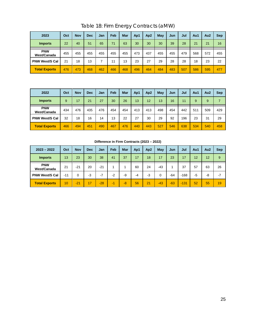<span id="page-24-0"></span>

| 2023                      | Oct | <b>Nov</b> | Dec | Jan | Feb | <b>Mar</b> | Ap1 | Ap <sub>2</sub> | May | Jun | Jul | Au1 | Au <sub>2</sub> | <b>Sep</b> |
|---------------------------|-----|------------|-----|-----|-----|------------|-----|-----------------|-----|-----|-----|-----|-----------------|------------|
| <b>Imports</b>            | 22  | 40         | 51  | 65  | 71  | 63         | 30  | 30              | 30  | 39  | 28  | 21  | 21              | 16         |
| <b>PNW</b><br>West/Canada | 455 | 455        | 455 | 455 | 455 | 455        | 473 | 437             | 455 | 455 | 479 | 568 | 572             | 455        |
| <b>PNW West/S Cal</b>     | 21  | 18         | 13  |     | 11  | 13         | 23  | 27              | 29  | 28  | 28  | 18  | 23              | 22         |
| <b>Total Exports</b>      | 476 | 473        | 468 | 462 | 466 | 468        | 496 | 464             | 484 | 483 | 507 | 586 | 595             | 477        |

Table 18: Firm Energy Contracts (aMW)

| 2022                      | Oct | <b>Nov</b> | <b>Dec</b> | Jan | Feb | <b>Mar</b> | Ap1 | Ap <sub>2</sub> | May | Jun | Jul | Au1 | Au <sub>2</sub> | <b>Sep</b> |
|---------------------------|-----|------------|------------|-----|-----|------------|-----|-----------------|-----|-----|-----|-----|-----------------|------------|
| <b>Imports</b>            | 9   | 17         | 21         | 27  | 30  | 26         | 13  | 12              | 13  | 16  | 11  | 9   | 9               |            |
| <b>PNW</b><br>West/Canada | 434 | 476        | 435        | 476 | 454 | 454        | 413 | 413             | 498 | 454 | 442 | 511 | 509             | 429        |
| <b>PNW West/S Cal</b>     | 32  | 18         | 16         | 14  | 13  | 22         | 27  | 30              | 29  | 92  | 196 | 23  | 31              | 29         |
| <b>Total Exports</b>      | 466 | 494        | 451        | 490 | 467 | 476        | 440 | 443             | 527 | 546 | 638 | 534 | 540             | 458        |

| $2023 - 2022$             | Oct   | <b>Nov</b> | <b>Dec</b> | Jan   | Feb  | Mar  | Ap1 | Ap <sub>2</sub> | May   | Jun   | Jul    | Au1 | Au <sub>2</sub> | <b>Sep</b> |
|---------------------------|-------|------------|------------|-------|------|------|-----|-----------------|-------|-------|--------|-----|-----------------|------------|
| <b>Imports</b>            | 13    | 23         | 30         | 38    | 41   | 37   | 17  | 18              | 17    | 23    | 17     | 12  | 12              | 9          |
| <b>PNW</b><br>West/Canada | 21    | $-21$      | 20         | $-21$ |      |      | 60  | 24              | $-43$ |       | 37     | 57  | 63              | 26         |
| <b>PNW West/S Cal</b>     | $-11$ | 0          | -3         | $-7$  | $-2$ | -9   | -4  | -3              | 0     | $-64$ | $-168$ | -5  | -8              | $-7$       |
| <b>Total Exports</b>      | 10    | $-21$      | 17         | $-28$ | -1   | $-8$ | 56  | 21              | $-43$ | $-63$ | $-131$ | 52  | 55              | 19         |

**Difference in Firm Contracts (2023 – 2022)**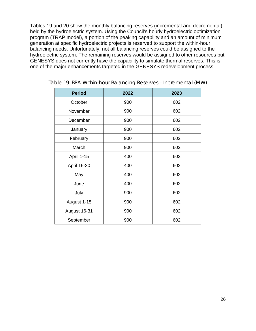Tables 19 and 20 show the monthly balancing reserves (incremental and decremental) held by the hydroelectric system. Using the Council's hourly hydroelectric optimization program (TRAP model), a portion of the peaking capability and an amount of minimum generation at specific hydroelectric projects is reserved to support the within-hour balancing needs. Unfortunately, not all balancing reserves could be assigned to the hydroelectric system. The remaining reserves would be assigned to other resources but GENESYS does not currently have the capability to simulate thermal reserves. This is one of the major enhancements targeted in the GENESYS redevelopment process.

| <b>Period</b> | 2022 | 2023 |
|---------------|------|------|
| October       | 900  | 602  |
| November      | 900  | 602  |
| December      | 900  | 602  |
| January       | 900  | 602  |
| February      | 900  | 602  |
| March         | 900  | 602  |
| April 1-15    | 400  | 602  |
| April 16-30   | 400  | 602  |
| May           | 400  | 602  |
| June          | 400  | 602  |
| July          | 900  | 602  |
| August 1-15   | 900  | 602  |
| August 16-31  | 900  | 602  |
| September     | 900  | 602  |

<span id="page-25-0"></span>

| Table 19: BPA Within-hour Balancing Reserves - Incremental (MW) |  |
|-----------------------------------------------------------------|--|
|-----------------------------------------------------------------|--|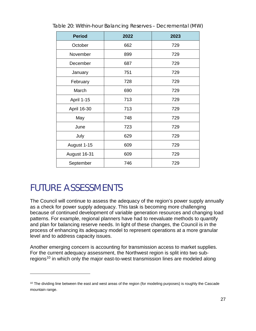| <b>Period</b> | 2022 | 2023 |
|---------------|------|------|
| October       | 662  | 729  |
| November      | 899  | 729  |
| December      | 687  | 729  |
| January       | 751  | 729  |
| February      | 728  | 729  |
| March         | 690  | 729  |
| April 1-15    | 713  | 729  |
| April 16-30   | 713  | 729  |
| May           | 748  | 729  |
| June          | 723  | 729  |
| July          | 629  | 729  |
| August 1-15   | 609  | 729  |
| August 16-31  | 609  | 729  |
| September     | 746  | 729  |

<span id="page-26-1"></span>Table 20: Within-hour Balancing Reserves – Decremental (MW)

### <span id="page-26-0"></span>FUTURE ASSESSMENTS

 $\ddot{\phantom{a}}$ 

The Council will continue to assess the adequacy of the region's power supply annually as a check for power supply adequacy. This task is becoming more challenging because of continued development of variable generation resources and changing load patterns. For example, regional planners have had to reevaluate methods to quantify and plan for balancing reserve needs. In light of these changes, the Council is in the process of enhancing its adequacy model to represent operations at a more granular level and to address capacity issues.

Another emerging concern is accounting for transmission access to market supplies. For the current adequacy assessment, the Northwest region is split into two sub-regions<sup>[10](#page-26-2)</sup> in which only the major east-to-west transmission lines are modeled along

<span id="page-26-2"></span> $10$  The dividing line between the east and west areas of the region (for modeling purposes) is roughly the Cascade mountain range.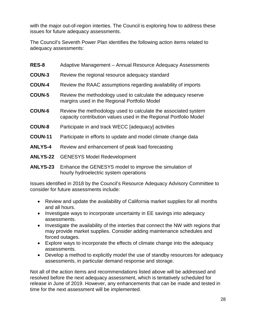with the major out-of-region interties. The Council is exploring how to address these issues for future adequacy assessments.

The Council's Seventh Power Plan identifies the following action items related to adequacy assessments:

| RES-8           | Adaptive Management - Annual Resource Adequacy Assessments                                                                          |
|-----------------|-------------------------------------------------------------------------------------------------------------------------------------|
| <b>COUN-3</b>   | Review the regional resource adequacy standard                                                                                      |
| <b>COUN-4</b>   | Review the RAAC assumptions regarding availability of imports                                                                       |
| <b>COUN-5</b>   | Review the methodology used to calculate the adequacy reserve<br>margins used in the Regional Portfolio Model                       |
| <b>COUN-6</b>   | Review the methodology used to calculate the associated system<br>capacity contribution values used in the Regional Portfolio Model |
| <b>COUN-8</b>   | Participate in and track WECC [adequacy] activities                                                                                 |
| <b>COUN-11</b>  | Participate in efforts to update and model climate change data                                                                      |
| <b>ANLYS-4</b>  | Review and enhancement of peak load forecasting                                                                                     |
| <b>ANLYS-22</b> | <b>GENESYS Model Redevelopment</b>                                                                                                  |

**ANLYS-23** Enhance the GENESYS model to improve the simulation of hourly hydroelectric system operations

Issues identified in 2018 by the Council's Resource Adequacy Advisory Committee to consider for future assessments include:

- Review and update the availability of California market supplies for all months and all hours.
- Investigate ways to incorporate uncertainty in EE savings into adequacy assessments.
- Investigate the availability of the interties that connect the NW with regions that may provide market supplies. Consider adding maintenance schedules and forced outages.
- Explore ways to incorporate the effects of climate change into the adequacy assessments.
- Develop a method to explicitly model the use of standby resources for adequacy assessments, in particular demand response and storage.

Not all of the action items and recommendations listed above will be addressed and resolved before the next adequacy assessment, which is tentatively scheduled for release in June of 2019. However, any enhancements that can be made and tested in time for the next assessment will be implemented.